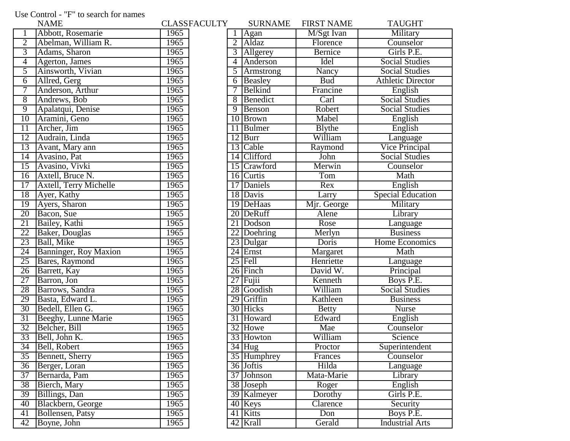## Use Control - "F" to search for names

|                 | <b>NAME</b>                   |      | <b>CLASSFACULTY</b> |                | <b>SURNAME</b>       | <b>FIRST NAME</b> | <b>TAUGHT</b>            |
|-----------------|-------------------------------|------|---------------------|----------------|----------------------|-------------------|--------------------------|
|                 | Abbott, Rosemarie             | 1965 |                     |                | $\text{Agan}$        | M/Sgt Ivan        | Military                 |
| $\overline{2}$  | Abelman, William R.           | 1965 |                     | $\overline{2}$ | Aldaz                | Florence          | Counselor                |
| $\overline{3}$  | Adams, Sharon                 | 1965 |                     |                | 3 Allgerey           | Bernice           | Girls P.E.               |
| 4               | Agerton, James                | 1965 |                     |                | 4 Anderson           | <b>Idel</b>       | <b>Social Studies</b>    |
| 5               | Ainsworth, Vivian             | 1965 |                     | 5              | Armstrong            | Nancy             | <b>Social Studies</b>    |
| 6               | Allred, Gerg                  | 1965 |                     | 6              | Beasley              | <b>Bud</b>        | <b>Athletic Director</b> |
| 7               | Anderson, Arthur              | 1965 |                     |                | Belkind              | Francine          | English                  |
| $\overline{8}$  | Andrews, Bob                  | 1965 |                     |                | 8 Benedict           | Carl              | <b>Social Studies</b>    |
| $\overline{9}$  | Apalatqui, Denise             | 1965 |                     |                | 9 Benson             | Robert            | <b>Social Studies</b>    |
| 10              | Aramini, Geno                 | 1965 |                     |                | 10 Brown             | Mabel             | English                  |
| 11              | Archer, Jim                   | 1965 |                     |                | 11 Bulmer            | Blythe            | English                  |
| 12              | Audrain, Linda                | 1965 |                     |                | $12$ Burr            | William           | Language                 |
| 13              | Avant, Mary ann               | 1965 |                     |                | 13 Cable             | Raymond           | <b>Vice Principal</b>    |
| $\overline{14}$ | Avasino, Pat                  | 1965 |                     |                | 14 Clifford          | John              | <b>Social Studies</b>    |
| 15              | Avasino, Vivki                | 1965 |                     |                | 15 Crawford          | Merwin            | Counselor                |
| 16              | Axtell, Bruce N.              | 1965 |                     |                | 16 Curtis            | Tom               | Math                     |
| 17              | <b>Axtell, Terry Michelle</b> | 1965 |                     |                | 17 Daniels           | Rex               | English                  |
| 18              | Ayer, Kathy                   | 1965 |                     |                | 18 Davis             | Larry             | <b>Special Education</b> |
| 19              | Ayers, Sharon                 | 1965 |                     |                | 19 DeHaas            | Mjr. George       | Military                 |
| 20              | Bacon, Sue                    | 1965 |                     |                | 20 DeRuff            | Alene             | Library                  |
| 21              | Bailey, Kathi                 | 1965 |                     |                | 21 Dodson            | Rose              | Language                 |
| 22              | Baker, Douglas                | 1965 |                     |                | 22 Doehring          | Merlyn            | <b>Business</b>          |
| 23              | Ball, Mike                    | 1965 |                     |                | 23 Dulgar            | Doris             | <b>Home Economics</b>    |
| 24              | Banninger, Roy Maxion         | 1965 |                     |                | 24 Ernst             | Margaret          | Math                     |
| $\overline{25}$ | Bares, Raymond                | 1965 |                     |                | $25$ Fell            | Henriette         | Language                 |
| $\overline{26}$ | Barrett, Kay                  | 1965 |                     |                | 26 Finch             | David W.          | Principal                |
| 27              | Barron, Jon                   | 1965 |                     |                | $27$ Fujii           | Kenneth           | Boys P.E.                |
| 28              | Barrows, Sandra               | 1965 |                     |                | 28 Goodish           | William           | <b>Social Studies</b>    |
| 29              | Basta, Edward L.              | 1965 |                     |                | 29 Griffin           | Kathleen          | <b>Business</b>          |
| 30              | Bedell, Ellen G.              | 1965 |                     |                | 30 Hicks             | <b>Betty</b>      | Nurse                    |
| 31              | Beeghy, Lunne Marie           | 1965 |                     |                | 31 Howard            | Edward            | English                  |
| 32              | Belcher, Bill                 | 1965 |                     |                | 32 Howe              | Mae               | Counselor                |
| 33              | Bell, John K.                 | 1965 |                     |                | 33 Howton            | William           | Science                  |
| 34              | Bell, Robert                  | 1965 |                     |                | $34$ Hug             | Proctor           | Superintendent           |
| $\overline{35}$ | Bennett, Sherry               | 1965 |                     |                | 35 Humphrey          | Frances           | Counselor                |
| 36              | Berger, Loran                 | 1965 |                     |                | 36 Joftis            | Hilda             | Language                 |
| 37              | Bernarda, Pam                 | 1965 |                     |                | 37 Johnson           | Mata-Marie        | Library                  |
| 38              | Bierch, Mary                  | 1965 |                     |                | 38 Joseph            | Roger             | English                  |
| 39              | Billings, Dan                 | 1965 |                     |                | 39 Kalmeyer          | Dorothy           | Girls P.E.               |
| 40              | Blackbern, George             | 1965 |                     |                | $\overline{40}$ Keys | Clarence          | Security                 |
| 41              | Bollensen, Patsy              | 1965 |                     |                | 41 Kitts             | Don               | Boys P.E.                |
| 42              | Boyne, John                   | 1965 |                     |                | 42 Krall             | Gerald            | <b>Industrial Arts</b>   |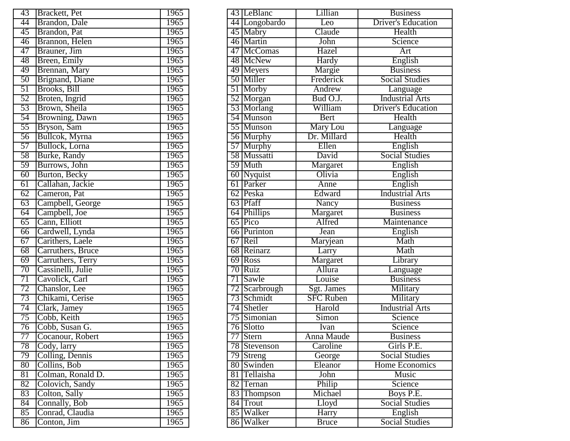| 43              | Brackett, Pet                          | 1965 |
|-----------------|----------------------------------------|------|
| 44              | Brandon, Dale                          | 1965 |
| $\overline{45}$ | Brandon, Pat                           | 1965 |
| 46              | Brannon, Helen                         | 1965 |
| 47              | Brauner, Jim                           | 1965 |
| 48              | Breen, Emily                           | 1965 |
| 49              | Brennan, Mary                          | 1965 |
| 50              | Brignand, Diane                        | 1965 |
| $\overline{51}$ | Brooks, Bill                           | 1965 |
| 52              | Broten, Ingrid                         | 1965 |
| $\overline{53}$ | Brown, Sheila                          | 1965 |
| 54              | Browning, Dawn                         | 1965 |
| 55              | Bryson, Sam                            | 1965 |
| $\overline{56}$ | Bullcok, Myrna                         | 1965 |
| 57              | Bullock, Lorna                         | 1965 |
| 58              | Burke, Randy                           | 1965 |
| 59              | Burrows, John                          | 1965 |
| 60              | Burton, Becky                          | 1965 |
| $\overline{61}$ | Callahan, Jackie                       | 1965 |
| 62              | Cameron, Pat                           | 1965 |
| 63              | Campbell, George                       | 1965 |
| 64              | Campbell, Joe<br>Cann, Elliott         | 1965 |
| 65              |                                        | 1965 |
| 66              | Cardwell, Lynda                        | 1965 |
| 67              | Carithers, Laele                       | 1965 |
| 68              | Carruthers, Bruce                      | 1965 |
| 69              |                                        | 1965 |
| 70              | Carruthers, Terry<br>Cassinelli, Julie | 1965 |
| 71              | Cavolick, Carl                         | 1965 |
| 72              | Chanslor, Lee                          | 1965 |
| 73              | Chikami, Cerise                        | 1965 |
| 74              | Clark, Jamey                           | 1965 |
| 75              | Cobb, Keith                            | 1965 |
| 76              | Cobb, Susan G.                         | 1965 |
| 77              | Cocanour, Robert                       | 1965 |
| 78              | Cody, larry                            | 1965 |
| 79              | Colling, Dennis                        | 1965 |
| 80              | Collins, Bob                           | 1965 |
| 81              | Colman, Ronald D.                      | 1965 |
| 82              | Colovich, Sandy                        | 1965 |
| 83              | Colton, Sally                          | 1965 |
| 84              | Connally, Bob                          | 1965 |
| 85              | Conrad, Claudia                        | 1965 |
| 86              | Conton, Jim                            | 1965 |

| 43              | Brackett, Pet     | 1965 |  | 43 LeBlanc             | Lillian          | <b>Business</b>           |
|-----------------|-------------------|------|--|------------------------|------------------|---------------------------|
| 44              | Brandon, Dale     | 1965 |  | 44 Longobardo          | Leo              | <b>Driver's Education</b> |
| 45              | Brandon, Pat      | 1965 |  | 45 Mabry               | Claude           | Health                    |
| 46              | Brannon, Helen    | 1965 |  | 46 Martin              | John             | Science                   |
| 47              | Brauner, Jim      | 1965 |  | 47 McComas             | Hazel            | Art                       |
| 48              | Breen, Emily      | 1965 |  | 48 McNew               | Hardy            | English                   |
| 49              | Brennan, Mary     | 1965 |  | 49 Meyers              | Margie           | <b>Business</b>           |
| 50              | Brignand, Diane   | 1965 |  | 50 Miller              | Frederick        | <b>Social Studies</b>     |
| $\overline{51}$ | Brooks, Bill      | 1965 |  | 51 Morby               | Andrew           | Language                  |
| 52              | Broten, Ingrid    | 1965 |  | 52 Morgan              | Bud O.J.         | <b>Industrial Arts</b>    |
| $\overline{53}$ | Brown, Sheila     | 1965 |  | 53 Morlang             | William          | <b>Driver's Education</b> |
| 54              | Browning, Dawn    | 1965 |  | 54 Munson              | Bert             | Health                    |
| 55              | Bryson, Sam       | 1965 |  | 55 Munson              | Mary Lou         | Language                  |
| 56              | Bullcok, Myrna    | 1965 |  | 56 Murphy              | Dr. Millard      | Health                    |
| 57              | Bullock, Lorna    | 1965 |  | 57 Murphy              | Ellen            | English                   |
| 58              | Burke, Randy      | 1965 |  | 58 Mussatti            | David            | <b>Social Studies</b>     |
| 59              | Burrows, John     | 1965 |  | 59 Muth                | Margaret         | English                   |
| $60\,$          | Burton, Becky     | 1965 |  | 60 Nyquist             | Olivia           | English                   |
| 61              | Callahan, Jackie  | 1965 |  | 61 Parker              | Anne             | English                   |
| 62              | Cameron, Pat      | 1965 |  | 62 Peska               | Edward           | <b>Industrial Arts</b>    |
| $\overline{63}$ | Campbell, George  | 1965 |  | 63 Pfaff               | <b>Nancy</b>     | <b>Business</b>           |
| 64              | Campbell, Joe     | 1965 |  | 64 Phillips            | Margaret         | <b>Business</b>           |
| 65              | Cann, Elliott     | 1965 |  | 65 Pico                | Alfred           | Maintenance               |
| 66              | Cardwell, Lynda   | 1965 |  | 66 Purinton            | Jean             | English                   |
| 67              | Carithers, Laele  | 1965 |  | 67 Reil                | Maryjean         | Math                      |
| 68              | Carruthers, Bruce | 1965 |  | 68 Reinarz             | Larry            | Math                      |
| 69              | Carruthers, Terry | 1965 |  | 69 Ross                | Margaret         | Library                   |
| 70              | Cassinelli, Julie | 1965 |  | 70 Ruiz                | Allura           | Language                  |
| 71              | Cavolick, Carl    | 1965 |  | 71 Sawle               | Louise           | <b>Business</b>           |
| $\overline{72}$ | Chanslor, Lee     | 1965 |  | 72 Scarbrough          | Sgt. James       | Military                  |
| $\overline{73}$ | Chikami, Cerise   | 1965 |  | 73 Schmidt             | <b>SFC Ruben</b> | Military                  |
| 74              | Clark, Jamey      | 1965 |  | 74 Shetler             | Harold           | <b>Industrial Arts</b>    |
| 75              | Cobb, Keith       | 1965 |  | 75 Simonian            | Simon            | Science                   |
| 76              | Cobb, Susan G.    | 1965 |  | 76 Slotto              | Ivan             | Science                   |
| 77              | Cocanour, Robert  | 1965 |  | 77 Stern               | Anna Maude       | <b>Business</b>           |
| 78              | Cody, larry       | 1965 |  | 78 Stevenson           | Caroline         | Girls P.E.                |
| 79              | Colling, Dennis   | 1965 |  | $\overline{79}$ Streng | George           | <b>Social Studies</b>     |
| $\overline{80}$ | Collins, Bob      | 1965 |  | 80 Swinden             | Eleanor          | Home Economics            |
| 81              | Colman, Ronald D. | 1965 |  | 81 Tellaisha           | John             | Music                     |
| 82              | Colovich, Sandy   | 1965 |  | 82 Ternan              | Philip           | Science                   |
| 83              | Colton, Sally     | 1965 |  | 83 Thompson            | Michael          | Boys P.E.                 |
| 84              | Connally, Bob     | 1965 |  | 84 Trout               | Lloyd            | <b>Social Studies</b>     |
| $\overline{85}$ | Conrad, Claudia   | 1965 |  | 85 Walker              | Harry            | English                   |
| 86              | Conton, Jim       | 1965 |  | 86 Walker              | <b>Bruce</b>     | <b>Social Studies</b>     |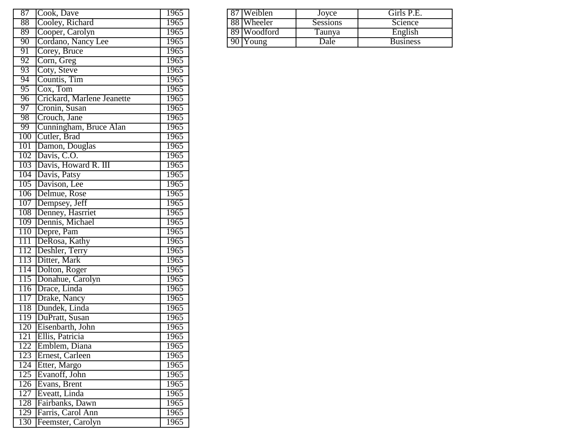| 87               | Cook, Dave                 | 1965        |
|------------------|----------------------------|-------------|
| 88               | Cooley, Richard            | 1965        |
| 89               | Cooper, Carolyn            | 1965        |
| 90               | Cordano, Nancy Lee         | 1965        |
| 91               | Corey, Bruce               | 1965        |
| 92               | Corn, Greg                 | 1965        |
| 93               | Coty, Steve                | 1965        |
| 94               | Countis, Tim               | 1965        |
| $\overline{95}$  | Cox, Tom                   | 1965        |
| 96               | Crickard, Marlene Jeanette | 1965        |
| 97               | Cronin, Susan              | 1965        |
| 98               | Crouch, Jane               | 1965        |
| 99               | Cunningham, Bruce Alan     | 1965        |
| 100              | Cutler, Brad               | 1965        |
| 101              | Damon, Douglas             | 1965        |
| 102              | Davis, C.O.                | 1965        |
| 103              | Davis, Howard R. III       | 1965        |
| 104              | Davis, Patsy               | 1965        |
| 105              | Davison, Lee               | 1965        |
| 106              | Delmue, Rose               | 1965        |
| 107              | Dempsey, Jeff              | 1965        |
| 108              | Denney, Hasrriet           | 1965        |
| 109              | Dennis, Michael            | 1965        |
| 110              | Depre, Pam                 | 1965        |
| 111              | DeRosa, Kathy              | 1965        |
| <u>112</u>       | Deshler, Terry             | 1965        |
| 113              | Ditter, Mark               | 1965        |
| 114              | Dolton, Roger              | 1965        |
| 115              | Donahue, Carolyn           | 1965        |
| 116              | Drace, Linda               | 1965        |
| $\overline{117}$ | Drake, Nancy               | 1965        |
| 118              | Dundek, Linda              | 1965        |
| 119              | DuPratt, Susan             | 1965        |
| 120              | Eisenbarth, John           | 1965        |
| 121              | Ellis, Patricia            | 1965        |
| 122              | Emblem, Diana              | 1965        |
| 123              | Ernest, Carleen            | <b>1965</b> |
| 124              | Etter, Margo               | 1965        |
| 125              | Evanoff, John              | 1965        |
| 126              | Evans, Brent               | 1965        |
| 127              | Eveatt, Linda              | 1965        |
| 128              | Fairbanks, Dawn            | 1965        |
| 129              | Farris, Carol Ann          | 1965        |
| 130              | Feemster, Carolyn          | 1965        |

| $\overline{87}$ | Dave<br>Cook.        | .965 | $\overline{87}$ | <b>Weiblen</b> | Jovce    | Girls P.E.      |
|-----------------|----------------------|------|-----------------|----------------|----------|-----------------|
| 88              | Cooley, Richard      | 1965 |                 | 88 Wheeler     | Sessions | Science         |
| 89              | Cooper. Carolyn      | 1965 |                 | 89 Woodford    | l'aunya  | English         |
| 90              | Nancy Lee<br>ordano. | 1965 |                 | 90 Young       | Dale     | <b>Business</b> |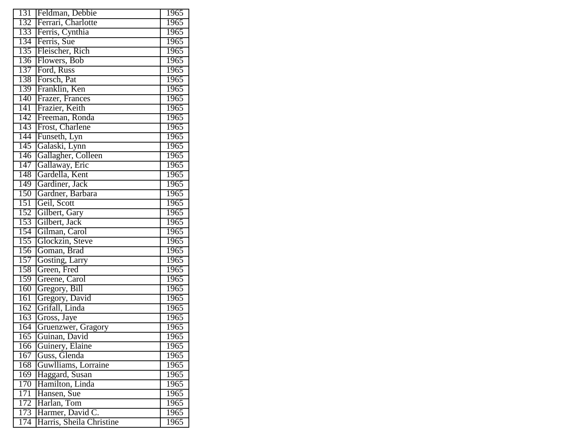| 131<br>Feldman, Debbie<br>132<br>Ferrari, Charlotte | 1965<br>1965      |
|-----------------------------------------------------|-------------------|
|                                                     |                   |
|                                                     |                   |
| Ferris, Cynthia<br>133                              | 1965              |
| Ferris, Sue<br>134                                  | 1965              |
| Fleischer, Rich<br>135                              | $\overline{1}965$ |
| 136<br>Flowers, Bob                                 | 1965              |
| Ford, Russ<br>137                                   | 1965              |
| 138<br>Forsch, Pat                                  | 1965              |
| Franklin, Ken<br>139                                | 1965              |
| 140<br>Frazer, Frances                              | 1965              |
| Frazier, Keith<br>141                               | 1965              |
| 142<br>Freeman, Ronda                               | 1965              |
| Frost, Charlene<br>143                              | 1965              |
| 144<br>Funseth, Lyn                                 | 1965              |
| 145<br>Galaski, Lynn                                | $\overline{1}965$ |
| Gallagher, Colleen<br>146                           | 1965              |
| 147<br>Gallaway, Eric                               | 1965              |
| Gardella, Kent<br>148                               | 1965              |
| Gardiner, Jack<br>149                               | 1965              |
| Gardner, Barbara<br>150                             | 1965              |
| Geil, Scott<br>151                                  | 1965              |
| 152<br>Gilbert, Gary                                | 1965              |
| Gilbert, Jack<br>153                                | 1965              |
| Gilman, Carol<br>154                                | 1965              |
| 155<br>Glockzin, Steve                              | $\overline{1}965$ |
| 156<br>Goman, Brad                                  | 1965              |
| 157<br>Gosting, Larry                               | 1965              |
| Green, Fred<br>158                                  | 1965              |
| Greene, Carol<br>159                                | 1965              |
| Gregory, Bill<br>160                                | 1965              |
| 161<br>Gregory, David                               | 1965              |
| $\overline{162}$<br>Grifall, Linda                  | 1965              |
| Gross, Jaye<br>163                                  | 1965              |
| Gruenzwer, Gragory<br>164                           | 1965              |
| 165<br>Guinan, David                                | 1965              |
| Guinery, Elaine<br>166                              | 1965              |
| Guss, Glenda<br>167                                 | 1965              |
| Guwlliams, Lorraine<br>168                          | 1965              |
| Haggard, Susan<br>169                               | 1965              |
| 170<br>Hamilton, Linda                              | 1965              |
| 171<br>Hansen, Sue                                  | 1965              |
| Harlan, Tom<br>172                                  | 1965              |
|                                                     |                   |
| Harmer, David C.<br>173                             | 1965              |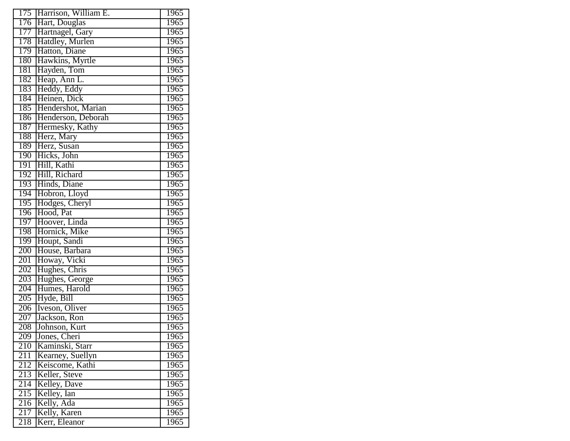| 175<br>Harrison, William E.<br>176<br>Hart, Douglas<br>1965<br>177<br>Hartnagel, Gary<br>1965<br>178<br>Hatdley, Murlen<br>1965<br>179<br>Hatton, Diane<br>1965<br>Hawkins, Myrtle<br>180<br>1965<br>Hayden, Tom<br>181<br>1965<br>Heap, Ann L.<br>182<br>1965<br>Heddy, Eddy<br>183<br>1965<br>Heinen, Dick<br>184<br>1965<br>Hendershot, Marian<br>185<br>1965<br>Henderson, Deborah<br>186<br>1965<br>Hermesky, Kathy<br>187<br>1965<br>Herz, Mary<br>1965<br>188<br>Herz, Susan<br>189<br>1965<br>Hicks, John<br>190<br>1965<br>191<br>Hill, Kathi<br>1965<br>Hill, Richard<br>192<br>1965<br>Hinds, Diane<br>193<br>1965<br>Hobron, Lloyd<br>194<br>1965<br>Hodges, Cheryl<br>195<br>1965<br>196<br>Hood, Pat<br>1965<br>Hoover, Linda<br>197<br>1965<br>Hornick, Mike<br>198<br>1965<br>199<br>Houpt, Sandi<br>1965<br>200<br>House, Barbara<br>1965<br>201<br>Howay, Vicki<br>1965<br>Hughes, Chris<br>202<br>1965<br>Hughes, George<br>203<br>1965<br>Humes, Harold<br>204<br>1965<br>Hyde, Bill<br>$\overline{205}$<br>1965<br>206<br>Iveson, Oliver<br>1965<br>Jackson, Ron<br>207<br>1965<br>Johnson, Kurt<br>208<br>1965<br>$20\overline{9}$<br>1965<br>Jones, Cheri<br>Kaminski, Starr<br>210<br>1965<br>Kearney, Suellyn<br>211<br>$\overline{1}965$<br>212<br>Keiscome, Kathi<br>1965<br>Keller, Steve<br>213<br>1965<br>$21\overline{4}$<br>Kelley, Dave<br>1965<br>215<br>Kelley, Ian<br>1965<br>216<br>Kelly, Ada<br>1965<br>217<br>Kelly, Karen<br>1965<br>218<br>Kerr, Eleanor<br>1965 |  |      |
|------------------------------------------------------------------------------------------------------------------------------------------------------------------------------------------------------------------------------------------------------------------------------------------------------------------------------------------------------------------------------------------------------------------------------------------------------------------------------------------------------------------------------------------------------------------------------------------------------------------------------------------------------------------------------------------------------------------------------------------------------------------------------------------------------------------------------------------------------------------------------------------------------------------------------------------------------------------------------------------------------------------------------------------------------------------------------------------------------------------------------------------------------------------------------------------------------------------------------------------------------------------------------------------------------------------------------------------------------------------------------------------------------------------------------------------------------------------------------------------------------------|--|------|
|                                                                                                                                                                                                                                                                                                                                                                                                                                                                                                                                                                                                                                                                                                                                                                                                                                                                                                                                                                                                                                                                                                                                                                                                                                                                                                                                                                                                                                                                                                            |  | 1965 |
|                                                                                                                                                                                                                                                                                                                                                                                                                                                                                                                                                                                                                                                                                                                                                                                                                                                                                                                                                                                                                                                                                                                                                                                                                                                                                                                                                                                                                                                                                                            |  |      |
|                                                                                                                                                                                                                                                                                                                                                                                                                                                                                                                                                                                                                                                                                                                                                                                                                                                                                                                                                                                                                                                                                                                                                                                                                                                                                                                                                                                                                                                                                                            |  |      |
|                                                                                                                                                                                                                                                                                                                                                                                                                                                                                                                                                                                                                                                                                                                                                                                                                                                                                                                                                                                                                                                                                                                                                                                                                                                                                                                                                                                                                                                                                                            |  |      |
|                                                                                                                                                                                                                                                                                                                                                                                                                                                                                                                                                                                                                                                                                                                                                                                                                                                                                                                                                                                                                                                                                                                                                                                                                                                                                                                                                                                                                                                                                                            |  |      |
|                                                                                                                                                                                                                                                                                                                                                                                                                                                                                                                                                                                                                                                                                                                                                                                                                                                                                                                                                                                                                                                                                                                                                                                                                                                                                                                                                                                                                                                                                                            |  |      |
|                                                                                                                                                                                                                                                                                                                                                                                                                                                                                                                                                                                                                                                                                                                                                                                                                                                                                                                                                                                                                                                                                                                                                                                                                                                                                                                                                                                                                                                                                                            |  |      |
|                                                                                                                                                                                                                                                                                                                                                                                                                                                                                                                                                                                                                                                                                                                                                                                                                                                                                                                                                                                                                                                                                                                                                                                                                                                                                                                                                                                                                                                                                                            |  |      |
|                                                                                                                                                                                                                                                                                                                                                                                                                                                                                                                                                                                                                                                                                                                                                                                                                                                                                                                                                                                                                                                                                                                                                                                                                                                                                                                                                                                                                                                                                                            |  |      |
|                                                                                                                                                                                                                                                                                                                                                                                                                                                                                                                                                                                                                                                                                                                                                                                                                                                                                                                                                                                                                                                                                                                                                                                                                                                                                                                                                                                                                                                                                                            |  |      |
|                                                                                                                                                                                                                                                                                                                                                                                                                                                                                                                                                                                                                                                                                                                                                                                                                                                                                                                                                                                                                                                                                                                                                                                                                                                                                                                                                                                                                                                                                                            |  |      |
|                                                                                                                                                                                                                                                                                                                                                                                                                                                                                                                                                                                                                                                                                                                                                                                                                                                                                                                                                                                                                                                                                                                                                                                                                                                                                                                                                                                                                                                                                                            |  |      |
|                                                                                                                                                                                                                                                                                                                                                                                                                                                                                                                                                                                                                                                                                                                                                                                                                                                                                                                                                                                                                                                                                                                                                                                                                                                                                                                                                                                                                                                                                                            |  |      |
|                                                                                                                                                                                                                                                                                                                                                                                                                                                                                                                                                                                                                                                                                                                                                                                                                                                                                                                                                                                                                                                                                                                                                                                                                                                                                                                                                                                                                                                                                                            |  |      |
|                                                                                                                                                                                                                                                                                                                                                                                                                                                                                                                                                                                                                                                                                                                                                                                                                                                                                                                                                                                                                                                                                                                                                                                                                                                                                                                                                                                                                                                                                                            |  |      |
|                                                                                                                                                                                                                                                                                                                                                                                                                                                                                                                                                                                                                                                                                                                                                                                                                                                                                                                                                                                                                                                                                                                                                                                                                                                                                                                                                                                                                                                                                                            |  |      |
|                                                                                                                                                                                                                                                                                                                                                                                                                                                                                                                                                                                                                                                                                                                                                                                                                                                                                                                                                                                                                                                                                                                                                                                                                                                                                                                                                                                                                                                                                                            |  |      |
|                                                                                                                                                                                                                                                                                                                                                                                                                                                                                                                                                                                                                                                                                                                                                                                                                                                                                                                                                                                                                                                                                                                                                                                                                                                                                                                                                                                                                                                                                                            |  |      |
|                                                                                                                                                                                                                                                                                                                                                                                                                                                                                                                                                                                                                                                                                                                                                                                                                                                                                                                                                                                                                                                                                                                                                                                                                                                                                                                                                                                                                                                                                                            |  |      |
|                                                                                                                                                                                                                                                                                                                                                                                                                                                                                                                                                                                                                                                                                                                                                                                                                                                                                                                                                                                                                                                                                                                                                                                                                                                                                                                                                                                                                                                                                                            |  |      |
|                                                                                                                                                                                                                                                                                                                                                                                                                                                                                                                                                                                                                                                                                                                                                                                                                                                                                                                                                                                                                                                                                                                                                                                                                                                                                                                                                                                                                                                                                                            |  |      |
|                                                                                                                                                                                                                                                                                                                                                                                                                                                                                                                                                                                                                                                                                                                                                                                                                                                                                                                                                                                                                                                                                                                                                                                                                                                                                                                                                                                                                                                                                                            |  |      |
|                                                                                                                                                                                                                                                                                                                                                                                                                                                                                                                                                                                                                                                                                                                                                                                                                                                                                                                                                                                                                                                                                                                                                                                                                                                                                                                                                                                                                                                                                                            |  |      |
|                                                                                                                                                                                                                                                                                                                                                                                                                                                                                                                                                                                                                                                                                                                                                                                                                                                                                                                                                                                                                                                                                                                                                                                                                                                                                                                                                                                                                                                                                                            |  |      |
|                                                                                                                                                                                                                                                                                                                                                                                                                                                                                                                                                                                                                                                                                                                                                                                                                                                                                                                                                                                                                                                                                                                                                                                                                                                                                                                                                                                                                                                                                                            |  |      |
|                                                                                                                                                                                                                                                                                                                                                                                                                                                                                                                                                                                                                                                                                                                                                                                                                                                                                                                                                                                                                                                                                                                                                                                                                                                                                                                                                                                                                                                                                                            |  |      |
|                                                                                                                                                                                                                                                                                                                                                                                                                                                                                                                                                                                                                                                                                                                                                                                                                                                                                                                                                                                                                                                                                                                                                                                                                                                                                                                                                                                                                                                                                                            |  |      |
|                                                                                                                                                                                                                                                                                                                                                                                                                                                                                                                                                                                                                                                                                                                                                                                                                                                                                                                                                                                                                                                                                                                                                                                                                                                                                                                                                                                                                                                                                                            |  |      |
|                                                                                                                                                                                                                                                                                                                                                                                                                                                                                                                                                                                                                                                                                                                                                                                                                                                                                                                                                                                                                                                                                                                                                                                                                                                                                                                                                                                                                                                                                                            |  |      |
|                                                                                                                                                                                                                                                                                                                                                                                                                                                                                                                                                                                                                                                                                                                                                                                                                                                                                                                                                                                                                                                                                                                                                                                                                                                                                                                                                                                                                                                                                                            |  |      |
|                                                                                                                                                                                                                                                                                                                                                                                                                                                                                                                                                                                                                                                                                                                                                                                                                                                                                                                                                                                                                                                                                                                                                                                                                                                                                                                                                                                                                                                                                                            |  |      |
|                                                                                                                                                                                                                                                                                                                                                                                                                                                                                                                                                                                                                                                                                                                                                                                                                                                                                                                                                                                                                                                                                                                                                                                                                                                                                                                                                                                                                                                                                                            |  |      |
|                                                                                                                                                                                                                                                                                                                                                                                                                                                                                                                                                                                                                                                                                                                                                                                                                                                                                                                                                                                                                                                                                                                                                                                                                                                                                                                                                                                                                                                                                                            |  |      |
|                                                                                                                                                                                                                                                                                                                                                                                                                                                                                                                                                                                                                                                                                                                                                                                                                                                                                                                                                                                                                                                                                                                                                                                                                                                                                                                                                                                                                                                                                                            |  |      |
|                                                                                                                                                                                                                                                                                                                                                                                                                                                                                                                                                                                                                                                                                                                                                                                                                                                                                                                                                                                                                                                                                                                                                                                                                                                                                                                                                                                                                                                                                                            |  |      |
|                                                                                                                                                                                                                                                                                                                                                                                                                                                                                                                                                                                                                                                                                                                                                                                                                                                                                                                                                                                                                                                                                                                                                                                                                                                                                                                                                                                                                                                                                                            |  |      |
|                                                                                                                                                                                                                                                                                                                                                                                                                                                                                                                                                                                                                                                                                                                                                                                                                                                                                                                                                                                                                                                                                                                                                                                                                                                                                                                                                                                                                                                                                                            |  |      |
|                                                                                                                                                                                                                                                                                                                                                                                                                                                                                                                                                                                                                                                                                                                                                                                                                                                                                                                                                                                                                                                                                                                                                                                                                                                                                                                                                                                                                                                                                                            |  |      |
|                                                                                                                                                                                                                                                                                                                                                                                                                                                                                                                                                                                                                                                                                                                                                                                                                                                                                                                                                                                                                                                                                                                                                                                                                                                                                                                                                                                                                                                                                                            |  |      |
|                                                                                                                                                                                                                                                                                                                                                                                                                                                                                                                                                                                                                                                                                                                                                                                                                                                                                                                                                                                                                                                                                                                                                                                                                                                                                                                                                                                                                                                                                                            |  |      |
|                                                                                                                                                                                                                                                                                                                                                                                                                                                                                                                                                                                                                                                                                                                                                                                                                                                                                                                                                                                                                                                                                                                                                                                                                                                                                                                                                                                                                                                                                                            |  |      |
|                                                                                                                                                                                                                                                                                                                                                                                                                                                                                                                                                                                                                                                                                                                                                                                                                                                                                                                                                                                                                                                                                                                                                                                                                                                                                                                                                                                                                                                                                                            |  |      |
|                                                                                                                                                                                                                                                                                                                                                                                                                                                                                                                                                                                                                                                                                                                                                                                                                                                                                                                                                                                                                                                                                                                                                                                                                                                                                                                                                                                                                                                                                                            |  |      |
|                                                                                                                                                                                                                                                                                                                                                                                                                                                                                                                                                                                                                                                                                                                                                                                                                                                                                                                                                                                                                                                                                                                                                                                                                                                                                                                                                                                                                                                                                                            |  |      |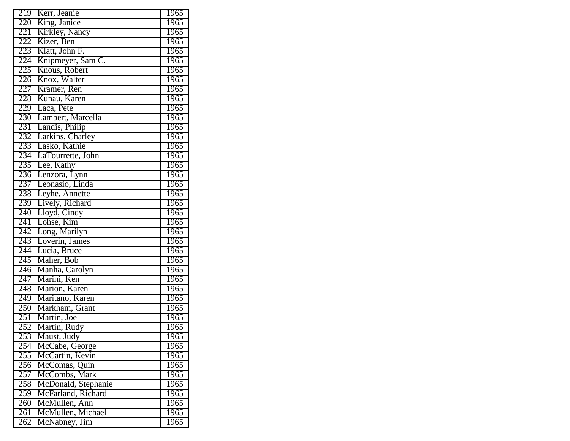| 219              | Kerr, Jeanie                     | 1965 |
|------------------|----------------------------------|------|
| 220              | King, Janice                     | 1965 |
| 221              | Kirkley, Nancy                   | 1965 |
| 222              | Kizer, Ben                       | 1965 |
| 223              | Klatt, John F.                   | 1965 |
| 224              | Knipmeyer, Sam C.                | 1965 |
| 225              | Knous, Robert                    | 1965 |
| 226              | Knox, Walter                     | 1965 |
| 227              | Kramer, Ren                      | 1965 |
| 228              | Kunau, Karen                     | 1965 |
| 229              | Laca, Pete                       | 1965 |
| 230              | Lambert, Marcella                | 1965 |
| 231              | Landis, Philip                   | 1965 |
| 232              | Larkins, Charley                 | 1965 |
| 233              | Lasko, Kathie                    | 1965 |
| 234              | LaTourrette, John                | 1965 |
| 235              | Lee, Kathy                       | 1965 |
| 236              |                                  | 1965 |
| 237              | Lenzora, Lynn<br>Leonasio, Linda | 1965 |
| 238              | Leyhe, Annette                   | 1965 |
| 239              | Lively, Richard                  | 1965 |
| 240              | Lloyd, Cindy                     | 1965 |
| 241              | Lohse, Kim                       | 1965 |
| 242              | Long, Marilyn                    | 1965 |
| 243              | Loverin, James                   | 1965 |
| 244              | Lucia, Bruce                     | 1965 |
| 245              | Maher, Bob                       | 1965 |
| 246              | Manha, Carolyn                   | 1965 |
| 247              | Marini, Ken                      | 1965 |
| 248              | Marion, Karen                    | 1965 |
| $\overline{249}$ | Maritano, Karen                  | 1965 |
| 250              | Markham, Grant                   | 1965 |
| 251              | Martin, Joe                      | 1965 |
| 252              | Martin, Rudy                     | 1965 |
| 253              | Maust, Judy                      | 1965 |
| 254              | McCabe, George                   | 1965 |
| 255              | McCartin, Kevin                  | 1965 |
| 256              | McComas, Quin                    | 1965 |
| 257              | McCombs, Mark                    | 1965 |
| 258              | McDonald, Stephanie              | 1965 |
| 259              | McFarland, Richard               | 1965 |
| 260              | McMullen, Ann                    | 1965 |
| 261              | McMullen, Michael                | 1965 |
| 262              | McNabney, Jim                    | 1965 |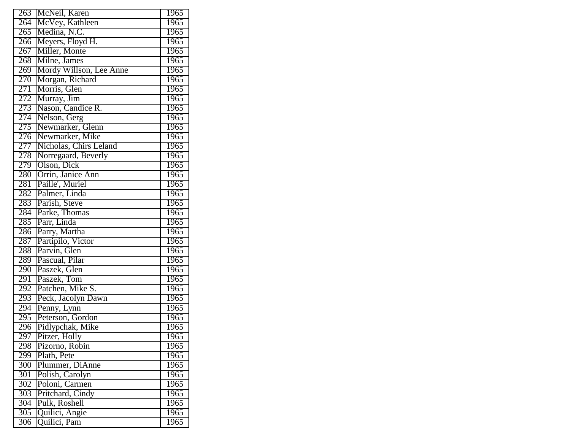| $\overline{263}$ | McNeil, Karen               | 1965              |
|------------------|-----------------------------|-------------------|
| 264              | McVey, Kathleen             | 1965              |
| $\overline{265}$ | Medina, N.C.                | 1965              |
| 266              | Meyers, Floyd H.            | 1965              |
| 267              | Miller, Monte               | 1965              |
| 268              | Milne, James                | 1965              |
| 269              | Mordy Willson, Lee Anne     | 1965              |
| 270              | Morgan, Richard             | 1965              |
| 271              | Morris, Glen                | 1965              |
| 272              | Murray, Jim                 | 1965              |
| 273              | Nason, Candice R.           | 1965              |
| 274              | Nelson, Gerg                | 1965              |
| 275              | Newmarker, Glenn            | 1965              |
| 276              | Newmarker, Mike             | 1965              |
| 277              | Nicholas, Chirs Leland      | 1965              |
| 278              | Norregaard, Beverly         | 1965              |
| 279              | Olson, Dick                 | 1965              |
| 280              | Orrin, Janice Ann           | 1965              |
| 281              | Paille', Muriel             | 1965              |
| 282              | Palmer, Linda               | 1965              |
| 283              | Parish, Steve               | <b>1965</b>       |
| 284              | Parke, Thomas               | 1965              |
| 285              | Parr, Linda                 | 1965              |
| 286              | Parry, Martha               | 1965              |
| 287              | Partipilo, Victor           | 1965              |
| 288              | Parvin, Glen                | 1965              |
| 289              | Pascual, Pilar              | 1965              |
| 290              |                             | 1965              |
| 291              | Paszek, Glen<br>Paszek, Tom | 1965              |
| 292              | Patchen, Mike S.            | 1965              |
| 293              | Peck, Jacolyn Dawn          | 1965              |
| 294              | Penny, Lynn                 | 1965              |
| 295              | Peterson, Gordon            | 1965              |
| 296              | Pidlypchak, Mike            | 1965              |
| 297              | Pitzer, Holly               | 1965              |
| 298              | Pizorno, Robin              | 1965              |
| 299              | Plath, Pete                 | 1965              |
| 300              | Plummer, DiAnne             | 1965              |
| $30\overline{1}$ | Polish, Carolyn             | 1965              |
| 302              | Poloni, Carmen              | 1965              |
| 303              | Pritchard, Cindy            | 1965              |
| $\overline{304}$ | Pulk, Roshell               | 1965              |
| $\overline{305}$ | Quilici, Angie              | 1965              |
| 306              | Quilici, Pam                | $\overline{1}965$ |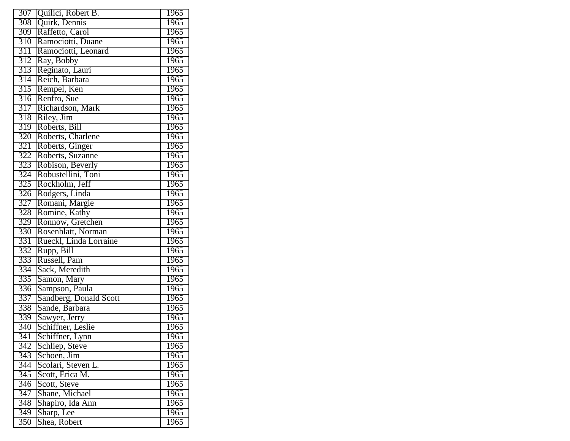| $\overline{307}$ | Quilici, Robert B.     | 1965              |
|------------------|------------------------|-------------------|
| 308              | Quirk, Dennis          | 1965              |
| 309              | Raffetto, Carol        | 1965              |
| 310              | Ramociotti, Duane      | 1965              |
| 311              | Ramociotti, Leonard    | $\overline{1}965$ |
| 312              | Ray, Bobby             | 1965              |
| 313              | Reginato, Lauri        | 1965              |
| 314              | Reich, Barbara         | 1965              |
| $\overline{315}$ | Rempel, Ken            | 1965              |
| $\overline{316}$ | Renfro, Sue            | 1965              |
| 317              | Richardson, Mark       | 1965              |
| 318              | Riley, Jim             | 1965              |
| 319              | Roberts, Bill          | 1965              |
| 320              | Roberts, Charlene      | 1965              |
| 321              | Roberts, Ginger        | $\overline{1}965$ |
| 322              | Roberts, Suzanne       | 1965              |
| 323              | Robison, Beverly       | 1965              |
| 324              | Robustellini, Toni     | 1965              |
| 325              | Rockholm, Jeff         | 1965              |
| 326              | Rodgers, Linda         | 1965              |
| 327              | Romani, Margie         | 1965              |
| 328              | Romine, Kathy          | 1965              |
| 329              | Ronnow, Gretchen       | 1965              |
| 330              | Rosenblatt, Norman     | 1965              |
| 331              | Rueckl, Linda Lorraine | $\overline{1}965$ |
| 332              | Rupp, Bill             | 1965              |
| 333              | Russell, Pam           | 1965              |
| 334              | Sack, Meredith         | 1965              |
| 335              | Samon, Mary            | 1965              |
| 336              | Sampson, Paula         | 1965              |
| 337              | Sandberg, Donald Scott | 1965              |
| 338              | Sande, Barbara         | 1965              |
| 339              | Sawyer, Jerry          | 1965              |
| 340              | Schiffner, Leslie      | 1965              |
| 341              | Schiffner, Lynn        | 1965              |
| 342              | Schliep, Steve         | 1965              |
| 343              | Schoen, Jim            | $\overline{1}965$ |
| 344              | Scolari, Steven L.     | 1965              |
| 345              | Scott, Erica M.        | 1965              |
| 346              | Scott, Steve           | $\overline{1}965$ |
| 347              | Shane, Michael         | 1965              |
| $\overline{348}$ | Shapiro, Ida Ann       | 1965              |
| 349              | Sharp, Lee             | 1965              |
| 350              | Shea, Robert           | 1965              |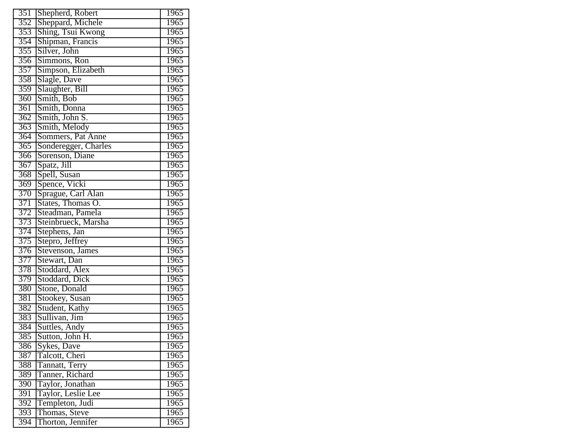| 351 | Shepherd, Robert     | 1965              |
|-----|----------------------|-------------------|
| 352 | Sheppard, Michele    | 1965              |
| 353 | Shing, Tsui Kwong    | 1965              |
| 354 | Shipman, Francis     | 1965              |
| 355 | Silver, John         | 1965              |
| 356 | Simmons, Ron         | 1965              |
| 357 | Simpson, Elizabeth   | 1965              |
| 358 | Slagle, Dave         | 1965              |
| 359 | Slaughter, Bill      | 1965              |
| 360 | Smith, Bob           | 1965              |
| 361 | Smith, Donna         | 1965              |
| 362 | Smith, John S.       | 1965              |
| 363 | Smith, Melody        | 1965              |
| 364 | Sommers, Pat Anne    | 1965              |
| 365 | Sonderegger, Charles | 1965              |
| 366 | Sorenson, Diane      | 1965              |
| 367 | Spatz, Jill          | 1965              |
| 368 | Spell, Susan         | 1965              |
| 369 | Spence, Vicki        | 1965              |
| 370 | Sprague, Carl Alan   | 1965              |
| 371 | States, Thomas O.    | 1965              |
| 372 | Steadman, Pamela     | 1965              |
| 373 | Steinbrueck, Marsha  | 1965              |
| 374 | Stephens, Jan        | 1965              |
| 375 | Stepro, Jeffrey      | 1965              |
| 376 | Stevenson, James     | 1965              |
| 377 | Stewart, Dan         | 1965              |
| 378 | Stoddard, Alex       | 1965              |
| 379 | Stoddard, Dick       | 1965              |
| 380 | Stone, Donald        | 1965              |
| 381 | Stookey, Susan       | 1965              |
| 382 | Student, Kathy       | 1965              |
| 383 | Sullivan, Jim        | 1965              |
| 384 | Suttles, Andy        | 1965              |
| 385 | Sutton, John H.      | 1965              |
| 386 | Sykes, Dave          | 1965              |
| 387 | Talcott, Cheri       | 1965              |
| 388 | Tannatt, Terry       | $\overline{1}965$ |
| 389 | Tanner, Richard      | 1965              |
| 390 | Taylor, Jonathan     | 1965              |
| 391 | Taylor, Leslie Lee   | 1965              |
| 392 | Templeton, Judi      | 1965              |
| 393 | Thomas, Steve        | 1965              |
| 394 | Thorton, Jennifer    | 1965              |